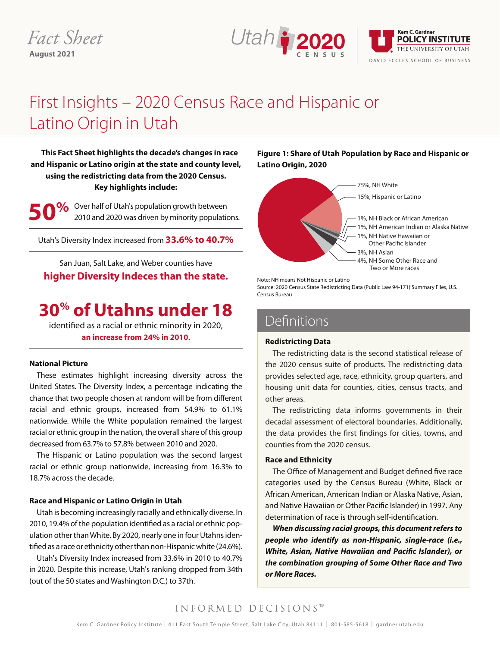# *Fact Sheet* **August 2021**



# First Insights – 2020 Census Race and Hispanic or Latino Origin in Utah

**This Fact Sheet highlights the decade's changes in race and Hispanic or Latino origin at the state and county level, using the redistricting data from the 2020 Census. Key highlights include:**

**9%** Over half of Utah's population growth between 2010 and 2020 was driven by minority populations.

Utah's Diversity Index increased from **33.6% to 40.7%**

San Juan, Salt Lake, and Weber counties have **higher Diversity Indeces than the state.**

# **30% of Utahns under 18**

identified as a racial or ethnic minority in 2020, **an increase from 24% in 2010**.

#### **National Picture**

These estimates highlight increasing diversity across the United States. The Diversity Index, a percentage indicating the chance that two people chosen at random will be from different racial and ethnic groups, increased from 54.9% to 61.1% nationwide. While the White population remained the largest racial or ethnic group in the nation, the overall share of this group decreased from 63.7% to 57.8% between 2010 and 2020.

The Hispanic or Latino population was the second largest racial or ethnic group nationwide, increasing from 16.3% to 18.7% across the decade.

#### **Race and Hispanic or Latino Origin in Utah**

Utah is becoming increasingly racially and ethnically diverse. In 2010, 19.4% of the population identified as a racial or ethnic population other than White. By 2020, nearly one in four Utahns identified as a race or ethnicity other than non-Hispanic white (24.6%).

Utah's Diversity Index increased from 33.6% in 2010 to 40.7% in 2020. Despite this increase, Utah's ranking dropped from 34th (out of the 50 states and Washington D.C.) to 37th.

**Figure 1: Share of Utah Population by Race and Hispanic or Latino Origin, 2020**



Note: NH means Not Hispanic or Latino

Source: 2020 Census State Redistricting Data (Public Law 94-171) Summary Files, U.S. Census Bureau

# Definitions

#### **Redistricting Data** Weber Salt Lake

The redistricting data is the second statistical release of the 2020 census suite of products. The redistricting data provides selected age, race, ethnicity, group quarters, and housing unit data for counties, cities, census tracts, and other areas.

50.1%

The redistricting data informs governments in their decadal assessment of electoral boundaries. Additionally, the data provides the first findings for cities, towns, and counties from the 2020 census.

## **Race and Ethnicity**

The Office of Management and Budget defined five race categories used by the Census Bureau (White, Black or African American, American Indian or Alaska Native, Asian, and Native Hawaiian or Other Pacific Islander) in 1997. Any determination of race is through self-identification.

*When discussing racial groups, this document refers to people who identify as non-Hispanic, single-race (i.e., White, Asian, Native Hawaiian and Pacific Islander), or the combination grouping of Some Other Race and Two or More Races.* 

# INFORMED DECISIONS™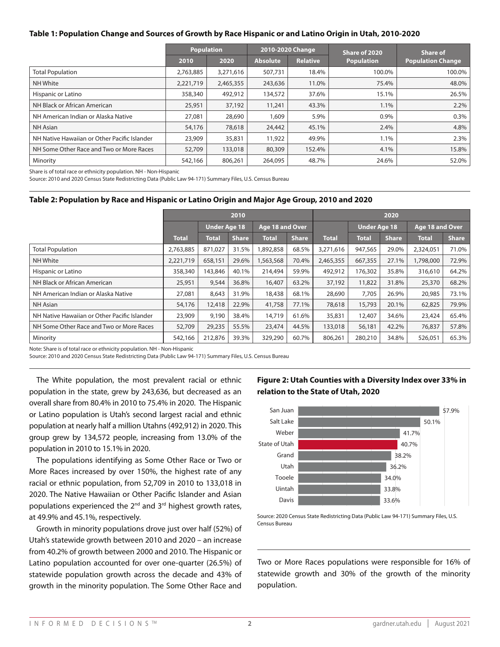#### **Table 1: Population Change and Sources of Growth by Race Hispanic or and Latino Origin in Utah, 2010-2020**

|                                              |           | <b>Population</b> | 2010-2020 Change |                 | Share of 2020     | <b>Share of</b>          |  |
|----------------------------------------------|-----------|-------------------|------------------|-----------------|-------------------|--------------------------|--|
|                                              | 2010      | 2020              | <b>Absolute</b>  | <b>Relative</b> | <b>Population</b> | <b>Population Change</b> |  |
| <b>Total Population</b>                      | 2,763,885 | 3,271,616         | 507,731          | 18.4%           | 100.0%            | 100.0%                   |  |
| <b>NH White</b>                              | 2,221,719 | 2,465,355         | 243,636          | 11.0%           | 75.4%             | 48.0%                    |  |
| Hispanic or Latino                           | 358,340   | 492,912           | 134,572          | 37.6%           | 15.1%             | 26.5%                    |  |
| NH Black or African American                 | 25,951    | 37,192            | 11,241           | 43.3%           | 1.1%              | $2.2\%$                  |  |
| NH American Indian or Alaska Native          | 27,081    | 28,690            | 1,609            | 5.9%            | 0.9%              | 0.3%                     |  |
| NH Asian                                     | 54,176    | 78,618            | 24,442           | 45.1%           | 2.4%              | 4.8%                     |  |
| NH Native Hawaiian or Other Pacific Islander | 23,909    | 35,831            | 11,922           | 49.9%           | 1.1%              | 2.3%                     |  |
| NH Some Other Race and Two or More Races     | 52,709    | 133,018           | 80,309           | 152.4%          | 4.1%              | 15.8%                    |  |
| Minority                                     | 542,166   | 806,261           | 264,095          | 48.7%           | 24.6%             | 52.0%                    |  |

Share is of total race or ethnicity population. NH - Non-Hispanic

Source: 2010 and 2020 Census State Redistricting Data (Public Law 94-171) Summary Files, U.S. Census Bureau

#### **Table 2: Population by Race and Hispanic or Latino Origin and Major Age Group, 2010 and 2020**

|                                              |                     |              |                        | 2020         |              |                     |              |                        |              |              |
|----------------------------------------------|---------------------|--------------|------------------------|--------------|--------------|---------------------|--------------|------------------------|--------------|--------------|
|                                              | <b>Under Age 18</b> |              | <b>Age 18 and Over</b> |              |              | <b>Under Age 18</b> |              | <b>Age 18 and Over</b> |              |              |
|                                              | <b>Total</b>        | <b>Total</b> | <b>Share</b>           | <b>Total</b> | <b>Share</b> | <b>Total</b>        | <b>Total</b> | <b>Share</b>           | <b>Total</b> | <b>Share</b> |
| <b>Total Population</b>                      | 2,763,885           | 871,027      | 31.5%                  | 1,892,858    | 68.5%        | 3,271,616           | 947,565      | 29.0%                  | 2,324,051    | 71.0%        |
| NH White                                     | 2,221,719           | 658,151      | 29.6%                  | 1,563,568    | 70.4%        | 2,465,355           | 667,355      | 27.1%                  | 1,798,000    | 72.9%        |
| Hispanic or Latino                           | 358,340             | 143,846      | 40.1%                  | 214,494      | 59.9%        | 492,912             | 176,302      | 35.8%                  | 316,610      | 64.2%        |
| NH Black or African American                 | 25,951              | 9,544        | 36.8%                  | 16,407       | 63.2%        | 37,192              | 11,822       | 31.8%                  | 25,370       | 68.2%        |
| NH American Indian or Alaska Native          | 27,081              | 8,643        | 31.9%                  | 18,438       | 68.1%        | 28,690              | 7,705        | 26.9%                  | 20,985       | 73.1%        |
| NH Asian                                     | 54,176              | 12,418       | 22.9%                  | 41,758       | 77.1%        | 78,618              | 15,793       | 20.1%                  | 62,825       | 79.9%        |
| NH Native Hawaiian or Other Pacific Islander | 23,909              | 9,190        | 38.4%                  | 14,719       | 61.6%        | 35,831              | 12,407       | 34.6%                  | 23,424       | 65.4%        |
| NH Some Other Race and Two or More Races     | 52,709              | 29,235       | 55.5%                  | 23,474       | 44.5%        | 133,018             | 56,181       | 42.2%                  | 76,837       | 57.8%        |
| Minority                                     | 542,166             | 212,876      | 39.3%                  | 329,290      | 60.7%        | 806,261             | 280,210      | 34.8%                  | 526,051      | 65.3%        |

Note: Share is of total race or ethnicity population. NH - Non-Hispanic

Source: 2010 and 2020 Census State Redistricting Data (Public Law 94-171) Summary Files, U.S. Census Bureau

The White population, the most prevalent racial or ethnic population in the state, grew by 243,636, but decreased as an overall share from 80.4% in 2010 to 75.4% in 2020. The Hispanic or Latino population is Utah's second largest racial and ethnic population at nearly half a million Utahns (492,912) in 2020. This group grew by 134,572 people, increasing from 13.0% of the population in 2010 to 15.1% in 2020.

The populations identifying as Some Other Race or Two or More Races increased by over 150%, the highest rate of any racial or ethnic population, from 52,709 in 2010 to 133,018 in 2020. The Native Hawaiian or Other Pacific Islander and Asian populations experienced the 2nd and 3rd highest growth rates, at 49.9% and 45.1%, respectively.

Growth in minority populations drove just over half (52%) of Utah's statewide growth between 2010 and 2020 – an increase from 40.2% of growth between 2000 and 2010. The Hispanic or Latino population accounted for over one-quarter (26.5%) of statewide population growth across the decade and 43% of growth in the minority population. The Some Other Race and

# **Figure 2: Utah Counties with a Diversity Index over 33% in relation to the State of Utah, 2020**



Source: 2020 Census State Redistricting Data (Public Law 94-171) Summary Files, U.S. Census Bureau

Two or More Races populations were responsible for 16% of statewide growth and 30% of the growth of the minority population.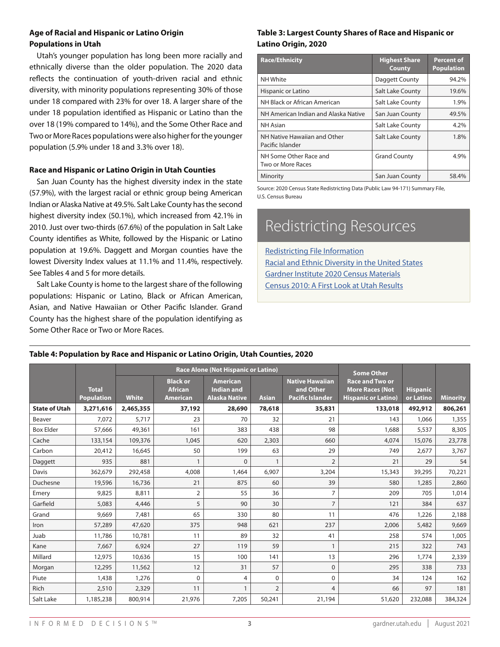## **Age of Racial and Hispanic or Latino Origin Populations in Utah**

Utah's younger population has long been more racially and ethnically diverse than the older population. The 2020 data reflects the continuation of youth-driven racial and ethnic diversity, with minority populations representing 30% of those under 18 compared with 23% for over 18. A larger share of the under 18 population identified as Hispanic or Latino than the over 18 (19% compared to 14%), and the Some Other Race and Two or More Races populations were also higher for the younger population (5.9% under 18 and 3.3% over 18).

## **Race and Hispanic or Latino Origin in Utah Counties**

San Juan County has the highest diversity index in the state (57.9%), with the largest racial or ethnic group being American Indian or Alaska Native at 49.5%. Salt Lake County has the second highest diversity index (50.1%), which increased from 42.1% in 2010. Just over two-thirds (67.6%) of the population in Salt Lake County identifies as White, followed by the Hispanic or Latino population at 19.6%. Daggett and Morgan counties have the lowest Diversity Index values at 11.1% and 11.4%, respectively. See Tables 4 and 5 for more details.

Salt Lake County is home to the largest share of the following populations: Hispanic or Latino, Black or African American, Asian, and Native Hawaiian or Other Pacific Islander. Grand County has the highest share of the population identifying as Some Other Race or Two or More Races.

# **Table 3: Largest County Shares of Race and Hispanic or Latino Origin, 2020**

| <b>Race/Ethnicity</b>                            | <b>Highest Share</b><br><b>County</b> | <b>Percent of</b><br><b>Population</b> |
|--------------------------------------------------|---------------------------------------|----------------------------------------|
| NH White                                         | Daggett County                        | 94.2%                                  |
| Hispanic or Latino                               | Salt Lake County                      | 19.6%                                  |
| NH Black or African American                     | Salt Lake County                      | 1.9%                                   |
| NH American Indian and Alaska Native             | San Juan County                       | 49.5%                                  |
| <b>NH</b> Asian                                  | Salt Lake County                      | 4.2%                                   |
| NH Native Hawaiian and Other<br>Pacific Islander | <b>Salt Lake County</b>               | 1.8%                                   |
| NH Some Other Race and<br>Two or More Races      | <b>Grand County</b>                   | 4.9%                                   |
| Minority                                         | San Juan County                       | 58.4%                                  |

Source: 2020 Census State Redistricting Data (Public Law 94-171) Summary File, U.S. Census Bureau

# Redistricting Resources

Redistricting File Information Racial and Ethnic Diversity in the United States Gardner Institute 2020 Census Materials Census 2010: A First Look at Utah Results

## **Table 4: Population by Race and Hispanic or Latino Origin, Utah Counties, 2020**

|                      |                                   |              |                                                      | <b>Race Alone (Not Hispanic or Latino)</b>                   | <b>Some Other</b> |                                                                |                                                                                |                              |                 |
|----------------------|-----------------------------------|--------------|------------------------------------------------------|--------------------------------------------------------------|-------------------|----------------------------------------------------------------|--------------------------------------------------------------------------------|------------------------------|-----------------|
|                      | <b>Total</b><br><b>Population</b> | <b>White</b> | <b>Black or</b><br><b>African</b><br><b>American</b> | <b>American</b><br><b>Indian and</b><br><b>Alaska Native</b> | <b>Asian</b>      | <b>Native Hawaiian</b><br>and Other<br><b>Pacific Islander</b> | <b>Race and Two or</b><br><b>More Races (Not</b><br><b>Hispanic or Latino)</b> | <b>Hispanic</b><br>or Latino | <b>Minority</b> |
| <b>State of Utah</b> | 3,271,616                         | 2,465,355    | 37,192                                               | 28,690                                                       | 78,618            | 35,831                                                         | 133,018                                                                        | 492,912                      | 806,261         |
| Beaver               | 7,072                             | 5,717        | 23                                                   | 70                                                           | 32                | 21                                                             | 143                                                                            | 1,066                        | 1,355           |
| <b>Box Elder</b>     | 57,666                            | 49,361       | 161                                                  | 383                                                          | 438               | 98                                                             | 1,688                                                                          | 5,537                        | 8,305           |
| Cache                | 133,154                           | 109,376      | 1.045                                                | 620                                                          | 2,303             | 660                                                            | 4,074                                                                          | 15,076                       | 23,778          |
| Carbon               | 20,412                            | 16,645       | 50                                                   | 199                                                          | 63                | 29                                                             | 749                                                                            | 2,677                        | 3,767           |
| Daggett              | 935                               | 881          | $\mathbf{1}$                                         | $\Omega$                                                     | 1                 | $\overline{2}$                                                 | 21                                                                             | 29                           | 54              |
| Davis                | 362,679                           | 292,458      | 4,008                                                | 1,464                                                        | 6,907             | 3,204                                                          | 15,343                                                                         | 39,295                       | 70,221          |
| Duchesne             | 19,596                            | 16,736       | 21                                                   | 875                                                          | 60                | 39                                                             | 580                                                                            | 1,285                        | 2,860           |
| Emery                | 9,825                             | 8,811        | $\overline{2}$                                       | 55                                                           | 36                | 7                                                              | 209                                                                            | 705                          | 1,014           |
| Garfield             | 5,083                             | 4,446        | 5                                                    | 90                                                           | 30                | $\overline{7}$                                                 | 121                                                                            | 384                          | 637             |
| Grand                | 9,669                             | 7,481        | 65                                                   | 330                                                          | 80                | 11                                                             | 476                                                                            | 1,226                        | 2,188           |
| Iron                 | 57,289                            | 47,620       | 375                                                  | 948                                                          | 621               | 237                                                            | 2,006                                                                          | 5,482                        | 9,669           |
| Juab                 | 11,786                            | 10,781       | 11                                                   | 89                                                           | 32                | 41                                                             | 258                                                                            | 574                          | 1,005           |
| Kane                 | 7,667                             | 6,924        | 27                                                   | 119                                                          | 59                | 1                                                              | 215                                                                            | 322                          | 743             |
| Millard              | 12,975                            | 10,636       | 15                                                   | 100                                                          | 141               | 13                                                             | 296                                                                            | 1,774                        | 2,339           |
| Morgan               | 12,295                            | 11,562       | 12                                                   | 31                                                           | 57                | $\mathbf 0$                                                    | 295                                                                            | 338                          | 733             |
| Piute                | 1,438                             | 1,276        | $\Omega$                                             | $\overline{4}$                                               | 0                 | 0                                                              | 34                                                                             | 124                          | 162             |
| <b>Rich</b>          | 2,510                             | 2,329        | 11                                                   |                                                              | $\overline{2}$    | $\overline{4}$                                                 | 66                                                                             | 97                           | 181             |
| Salt Lake            | 1,185,238                         | 800,914      | 21,976                                               | 7,205                                                        | 50,241            | 21,194                                                         | 51,620                                                                         | 232,088                      | 384,324         |